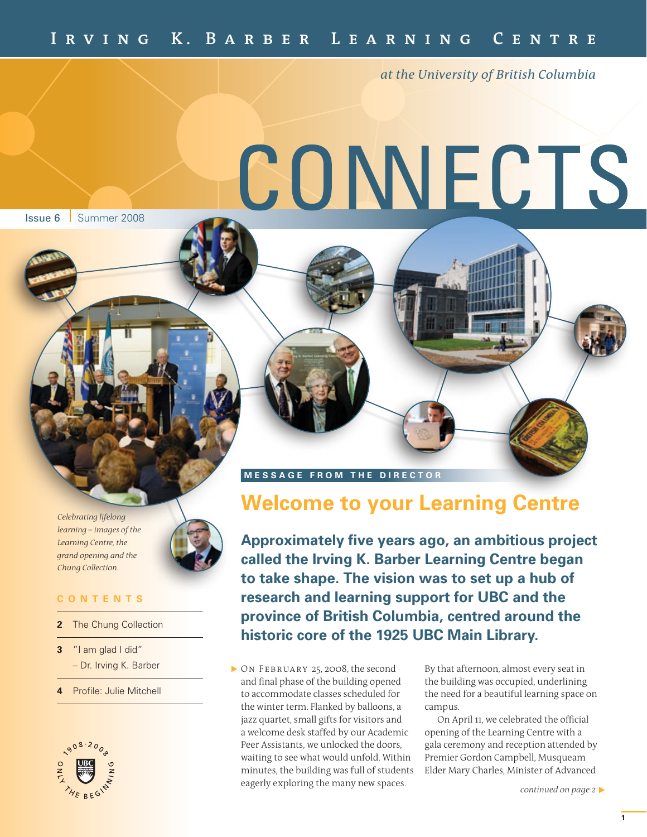*at the University of British Columbia*

# CONNECTS

**Issue 6** Summer 2008

*Celebrating lifelong learning – images of the Learning Centre, the grand opening and the Chung Collection.*



# **C O N T E N T S**

- **22** The Chung Collection
- **3** "I am glad I did" – Dr. Irving K. Barber
- **4** Profile: Julie Mitchell



**MESSAGE FROM THE DIRECTOR** 

# **Welcome to your Learning Centre**

**Approximately five years ago, an ambitious project called the Irving K. Barber Learning Centre began to take shape. The vision was to set up a hub of research and learning support for UBC and the province of British Columbia, centred around the historic core of the 1925 UBC Main Library.**

On February 25, 2008, the second and final phase of the building opened to accommodate classes scheduled for the winter term. Flanked by balloons, a jazz quartet, small gifts for visitors and a welcome desk staffed by our Academic Peer Assistants, we unlocked the doors, waiting to see what would unfold. Within minutes, the building was full of students eagerly exploring the many new spaces.

By that afternoon, almost every seat in the building was occupied, underlining the need for a beautiful learning space on campus.

On April 11, we celebrated the official opening of the Learning Centre with a gala ceremony and reception attended by Premier Gordon Campbell, Musqueam Elder Mary Charles, Minister of Advanced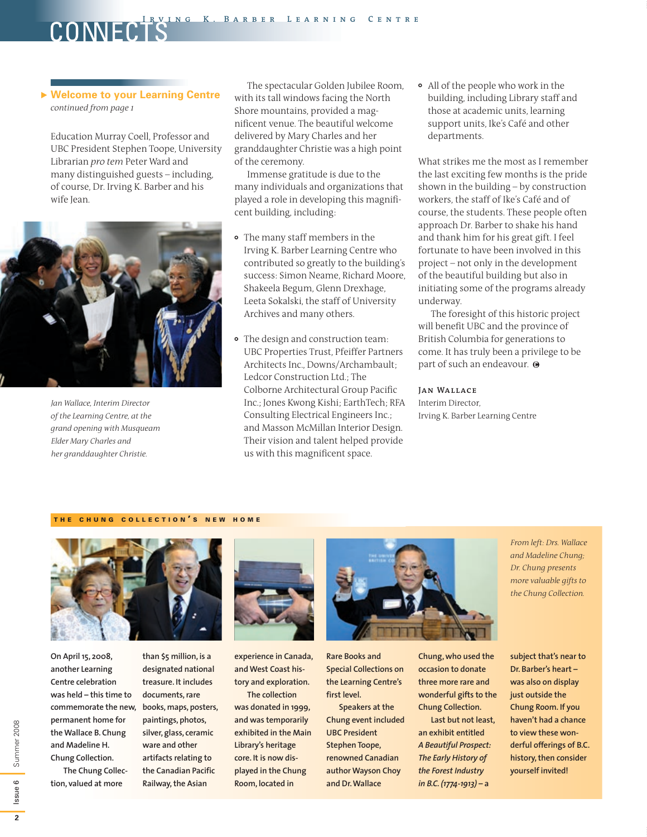# **Welcome to your Learning Centre** *continued from page 1*

COME

Education Murray Coell, Professor and UBC President Stephen Toope, University Librarian *pro tem* Peter Ward and many distinguished guests – including, of course, Dr. Irving K. Barber and his wife Jean.



*Jan Wallace, Interim Director of the Learning Centre, at the grand opening with Musqueam Elder Mary Charles and her granddaughter Christie.*

The spectacular Golden Jubilee Room, with its tall windows facing the North Shore mountains, provided a magnificent venue. The beautiful welcome delivered by Mary Charles and her granddaughter Christie was a high point of the ceremony.

Immense gratitude is due to the many individuals and organizations that played a role in developing this magnificent building, including:

- The many staff members in the Irving K. Barber Learning Centre who contributed so greatly to the building's success: Simon Neame, Richard Moore, Shakeela Begum, Glenn Drexhage, Leeta Sokalski, the staff of University Archives and many others.
- The design and construction team: UBC Properties Trust, Pfeiffer Partners Architects Inc., Downs/Archambault; Ledcor Construction Ltd.; The Colborne Architectural Group Pacific Inc.; Jones Kwong Kishi; EarthTech; RFA Consulting Electrical Engineers Inc.; and Masson McMillan Interior Design. Their vision and talent helped provide us with this magnificent space.

All of the people who work in the building, including Library staff and those at academic units, learning support units, Ike's Café and other departments.

What strikes me the most as I remember the last exciting few months is the pride shown in the building – by construction workers, the staff of Ike's Café and of course, the students. These people often approach Dr. Barber to shake his hand and thank him for his great gift. I feel fortunate to have been involved in this project – not only in the development of the beautiful building but also in initiating some of the programs already underway.

The foresight of this historic project will benefit UBC and the province of British Columbia for generations to come. It has truly been a privilege to be part of such an endeavour.  $\Theta$ 

### **Jan Wallace**

Interim Director, Irving K. Barber Learning Centre

## THE CHUNG COLLECTION'S NEW HOME



**On April 15, 2008, another Learning Centre celebration was held – this time to commemorate the new, permanent home for the Wallace B. Chung and Madeline H. Chung Collection. The Chung Collec-**

**tion, valued at more** 

**than \$5 million, is a designated national treasure. It includes documents, rare books, maps, posters, paintings, photos, silver, glass, ceramic ware and other artifacts relating to the Canadian Pacific Railway, the Asian** 



**experience in Canada, and West Coast history and exploration.** 

**The collection was donated in 1999, and was temporarily exhibited in the Main Library's heritage core. It is now displayed in the Chung Room, located in** 



**Rare Books and Special Collections on the Learning Centre's first level.**

**Speakers at the Chung event included UBC President Stephen Toope, renowned Canadian author Wayson Choy and Dr. Wallace** 

**Chung, who used the occasion to donate three more rare and wonderful gifts to the Chung Collection.**

**Last but not least, an exhibit entitled**  *A Beautiful Prospect: The Early History of the Forest Industry in B.C. (1774-1913)* **– a** 

*From left: Drs. Wallace and Madeline Chung; Dr. Chung presents more valuable gifts to the Chung Collection.*

**subject that's near to Dr. Barber's heart – was also on display just outside the Chung Room. If you haven't had a chance to view these wonderful offerings of B.C. history, then consider yourself invited!**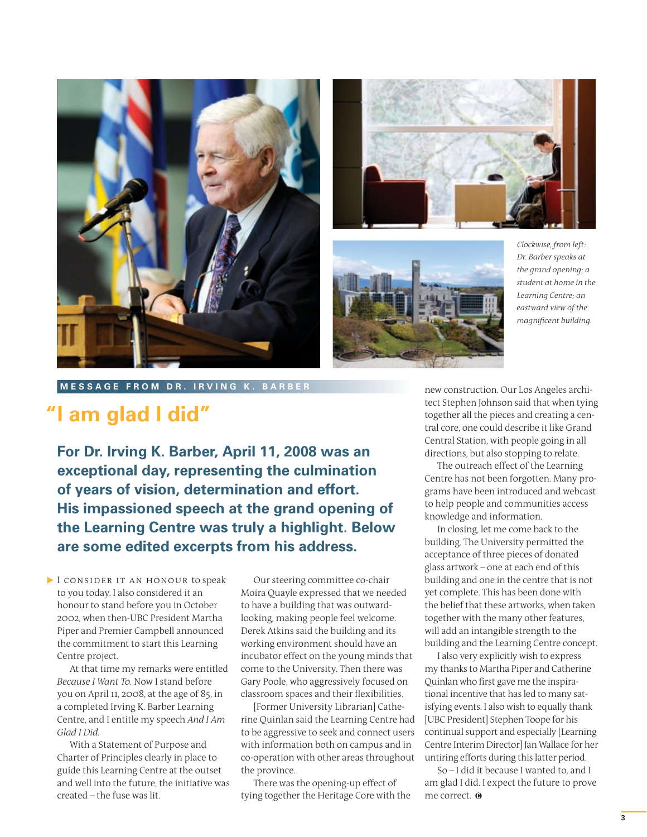





*Clockwise, from left: Dr. Barber speaks at the grand opening; a student at home in the Learning Centre; an eastward view of the magnificent building.*

**MESSAGE from D r . I r v ing K. B arber**

# **"I am glad I did"**

**For Dr. Irving K. Barber, April 11, 2008 was an exceptional day, representing the culmination of years of vision, determination and effort. His impassioned speech at the grand opening of the Learning Centre was truly a highlight. Below are some edited excerpts from his address.**

I CONSIDER IT AN HONOUR to speak to you today. I also considered it an honour to stand before you in October 2002, when then-UBC President Martha Piper and Premier Campbell announced the commitment to start this Learning Centre project.

At that time my remarks were entitled *Because I Want To.* Now I stand before you on April 11, 2008, at the age of 85, in a completed Irving K. Barber Learning Centre, and I entitle my speech *And I Am Glad I Did.*

With a Statement of Purpose and Charter of Principles clearly in place to guide this Learning Centre at the outset and well into the future, the initiative was created – the fuse was lit.

Our steering committee co-chair Moira Quayle expressed that we needed to have a building that was outwardlooking, making people feel welcome. Derek Atkins said the building and its working environment should have an incubator effect on the young minds that come to the University. Then there was Gary Poole, who aggressively focused on classroom spaces and their flexibilities.

[Former University Librarian] Catherine Quinlan said the Learning Centre had to be aggressive to seek and connect users with information both on campus and in co-operation with other areas throughout the province.

There was the opening-up effect of tying together the Heritage Core with the new construction. Our Los Angeles architect Stephen Johnson said that when tying together all the pieces and creating a central core, one could describe it like Grand Central Station, with people going in all directions, but also stopping to relate.

The outreach effect of the Learning Centre has not been forgotten. Many programs have been introduced and webcast to help people and communities access knowledge and information.

In closing, let me come back to the building. The University permitted the acceptance of three pieces of donated glass artwork – one at each end of this building and one in the centre that is not yet complete. This has been done with the belief that these artworks, when taken together with the many other features, will add an intangible strength to the building and the Learning Centre concept.

I also very explicitly wish to express my thanks to Martha Piper and Catherine Quinlan who first gave me the inspirational incentive that has led to many satisfying events. I also wish to equally thank [UBC President] Stephen Toope for his continual support and especially [Learning Centre Interim Director] Jan Wallace for her untiring efforts during this latter period.

So – I did it because I wanted to, and I am glad I did. I expect the future to prove me correct.